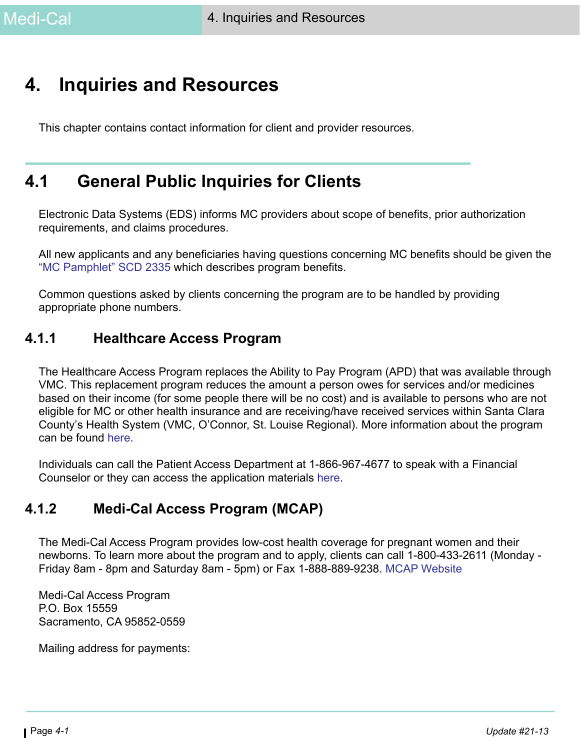# **4. Inquiries and Resources**

This chapter contains contact information for client and provider resources.

# **4.1 General Public Inquiries for Clients**

Electronic Data Systems (EDS) informs MC providers about scope of benefits, prior authorization requirements, and claims procedures.

All new applicants and any beneficiaries having questions concerning MC benefits should be given the ["MC Pamphlet" SCD 2335](https://ssaconnect.sccgov.org/ssaforms/_layouts/15/WopiFrame.aspx?sourcedoc=/ssaforms/Documents/SCD_2335_en.docx&action=default&DefaultItemOpen=1) which describes program benefits.

Common questions asked by clients concerning the program are to be handled by providing appropriate phone numbers.

#### **4.1.1 Healthcare Access Program**

The Healthcare Access Program replaces the Ability to Pay Program (APD) that was available through VMC. This replacement program reduces the amount a person owes for services and/or medicines based on their income (for some people there will be no cost) and is available to persons who are not eligible for MC or other health insurance and are receiving/have received services within Santa Clara County's Health System (VMC, O'Connor, St. Louise Regional). More information about the program can be found [here.](https://www.sccgov.org/sites/hhs/Healthcare-Access-Program/Pages/home.aspx)

Individuals can call the Patient Access Department at 1-866-967-4677 to speak with a Financial Counselor or they can access the application materials [here](https://www.sccgov.org/sites/hhs/Healthcare-Access-Program/Pages/financial-help-for-healthcare.aspx).

#### **4.1.2 Medi-Cal Access Program (MCAP)**

The Medi-Cal Access Program provides low-cost health coverage for pregnant women and their newborns. To learn more about the program and to apply, clients can call 1-800-433-2611 (Monday - Friday 8am - 8pm and Saturday 8am - 5pm) or Fax 1-888-889-9238. [MCAP Website](http://mcap.dhcs.ca.gov/About/#MCAP)

Medi-Cal Access Program P.O. Box 15559 Sacramento, CA 95852-0559

Mailing address for payments: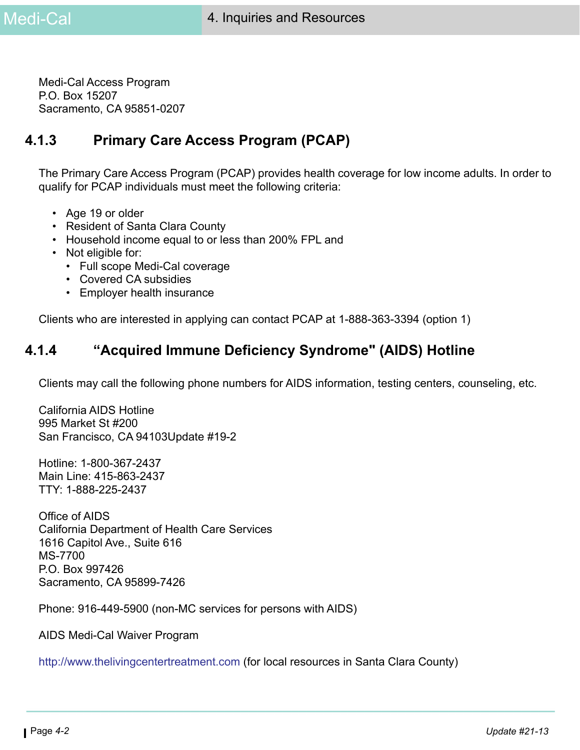Medi-Cal Access Program P.O. Box 15207 Sacramento, CA 95851-0207

# **4.1.3 Primary Care Access Program (PCAP)**

The Primary Care Access Program (PCAP) provides health coverage for low income adults. In order to qualify for PCAP individuals must meet the following criteria:

- Age 19 or older
- Resident of Santa Clara County
- Household income equal to or less than 200% FPL and
- Not eligible for:
	- Full scope Medi-Cal coverage
	- Covered CA subsidies
	- Employer health insurance

Clients who are interested in applying can contact PCAP at 1-888-363-3394 (option 1)

# **4.1.4 "Acquired Immune Deficiency Syndrome" (AIDS) Hotline**

Clients may call the following phone numbers for AIDS information, testing centers, counseling, etc.

California AIDS Hotline 995 Market St #200 San Francisco, CA 94103Update #19-2

Hotline: 1-800-367-2437 Main Line: 415-863-2437 TTY: 1-888-225-2437

Office of AIDS California Department of Health Care Services 1616 Capitol Ave., Suite 616 MS-7700 P.O. Box 997426 Sacramento, CA 95899-7426

Phone: 916-449-5900 (non-MC services for persons with AIDS)

[AIDS Medi-Cal Waiver Program](http://www.dhcs.ca.gov/services/ltc/Pages/AIDS.aspx)

[http://www.thelivingcentertreatment.com](http://www.thelivingcentertreatment.com/) (for local resources in Santa Clara County)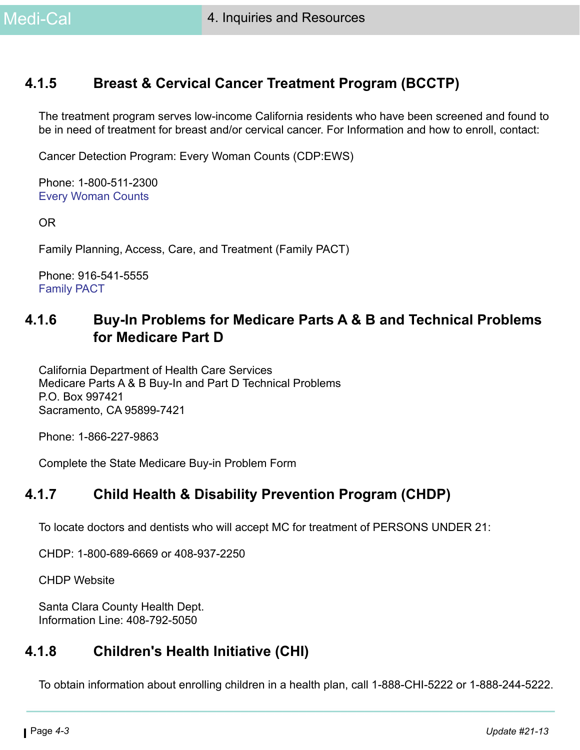# **4.1.5 Breast & Cervical Cancer Treatment Program (BCCTP)**

The treatment program serves low-income California residents who have been screened and found to be in need of treatment for breast and/or cervical cancer. For Information and how to enroll, contact:

Cancer Detection Program: Every Woman Counts (CDP:EWS)

Phone: 1-800-511-2300 [Every Woman Counts](http://www.dhcs.ca.gov/services/Cancer/ewc/Pages/default.aspx)

OR

Family Planning, Access, Care, and Treatment (Family PACT)

Phone: 916-541-5555 [Family PACT](http://www.familypact.org/Home/home-page)

## **4.1.6 Buy-In Problems for Medicare Parts A & B and Technical Problems for Medicare Part D**

California Department of Health Care Services Medicare Parts A & B Buy-In and Part D Technical Problems P.O. Box 997421 Sacramento, CA 95899-7421

Phone: 1-866-227-9863

[Complete the State Medicare Buy-in Problem Form](https://apps.dhcs.ca.gov/AutoForm2/Page/AutoForm2.aspx)

#### **4.1.7 Child Health & Disability Prevention Program (CHDP)**

To locate doctors and dentists who will accept MC for treatment of PERSONS UNDER 21:

CHDP: 1-800-689-6669 or 408-937-2250

[CHDP Website](http://www.dhcs.ca.gov/services/chdp/Pages/default.aspx)

Santa Clara County Health Dept. Information Line: 408-792-5050

# **4.1.8 Children's Health Initiative (CHI)**

[To obtain information about enrolling children in a health plan, call 1-888-CHI-5222 or 1-888-244-5222.](https://www.chikids.org/Pages/default.aspx)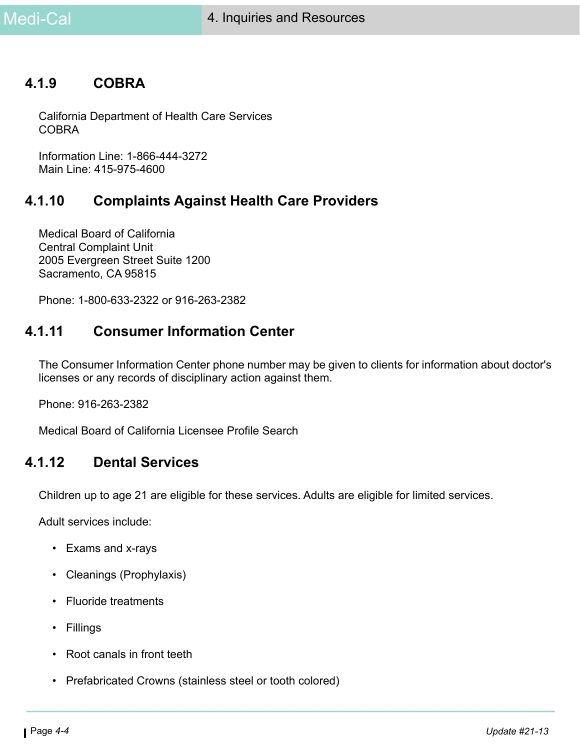#### **4.1.9 COBRA**

California Department of Health Care Services COBRA

Information Line: 1-866-444-3272 Main Line: 415-975-4600

## **4.1.10 Complaints Against Health Care Providers**

Medical Board of California Central Complaint Unit 2005 Evergreen Street Suite 1200 Sacramento, CA 95815

Phone: 1-800-633-2322 or 916-263-2382

#### **4.1.11 Consumer Information Center**

The Consumer Information Center phone number may be given to clients for information about doctor's licenses or any records of disciplinary action against them.

Phone: 916-263-2382

[Medical Board of California Licensee Profile Search](http://www.mbc.ca.gov/Breeze/License_Verification.aspx)

#### **4.1.12 Dental Services**

Children up to age 21 are eligible for these services. Adults are eligible for limited services.

Adult services include:

- Exams and x-rays
- Cleanings (Prophylaxis)
- Fluoride treatments
- Fillings
- Root canals in front teeth
- Prefabricated Crowns (stainless steel or tooth colored)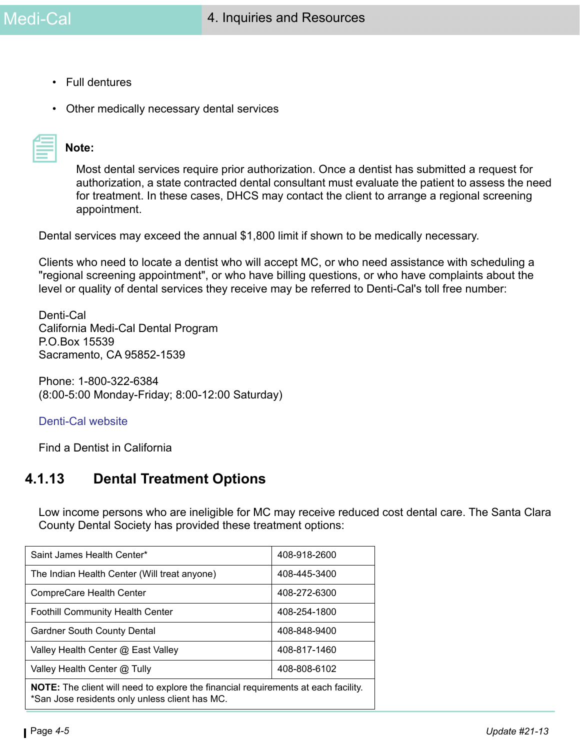- Full dentures
- Other medically necessary dental services

| $\sim$ |  |  |
|--------|--|--|
|        |  |  |

#### **Note:**

Most dental services require prior authorization. Once a dentist has submitted a request for authorization, a state contracted dental consultant must evaluate the patient to assess the need for treatment. In these cases, DHCS may contact the client to arrange a regional screening appointment.

Dental services may exceed the annual \$1,800 limit if shown to be medically necessary.

Clients who need to locate a dentist who will accept MC, or who need assistance with scheduling a "regional screening appointment", or who have billing questions, or who have complaints about the level or quality of dental services they receive may be referred to Denti-Cal's toll free number:

Denti-Cal California Medi-Cal Dental Program P.O.Box 15539 Sacramento, CA 95852-1539

Phone: 1-800-322-6384 (8:00-5:00 Monday-Friday; 8:00-12:00 Saturday)

#### [Denti-Cal website](www.denti-cal.ca.gov)

[Find a Dentist in California](https://www.insurekidsnow.gov/state/ca/find-a-dentist/index.html)

#### **4.1.13 Dental Treatment Options**

Low income persons who are ineligible for MC may receive reduced cost dental care. The Santa Clara County Dental Society has provided these treatment options:

| Saint James Health Center*                                                                                                                  | 408-918-2600 |  |
|---------------------------------------------------------------------------------------------------------------------------------------------|--------------|--|
| The Indian Health Center (Will treat anyone)                                                                                                | 408-445-3400 |  |
| CompreCare Health Center                                                                                                                    | 408-272-6300 |  |
| <b>Foothill Community Health Center</b>                                                                                                     | 408-254-1800 |  |
| <b>Gardner South County Dental</b>                                                                                                          | 408-848-9400 |  |
| Valley Health Center @ East Valley                                                                                                          | 408-817-1460 |  |
| Valley Health Center @ Tully                                                                                                                | 408-808-6102 |  |
| <b>NOTE:</b> The client will need to explore the financial requirements at each facility.<br>*San Jose residents only unless client has MC. |              |  |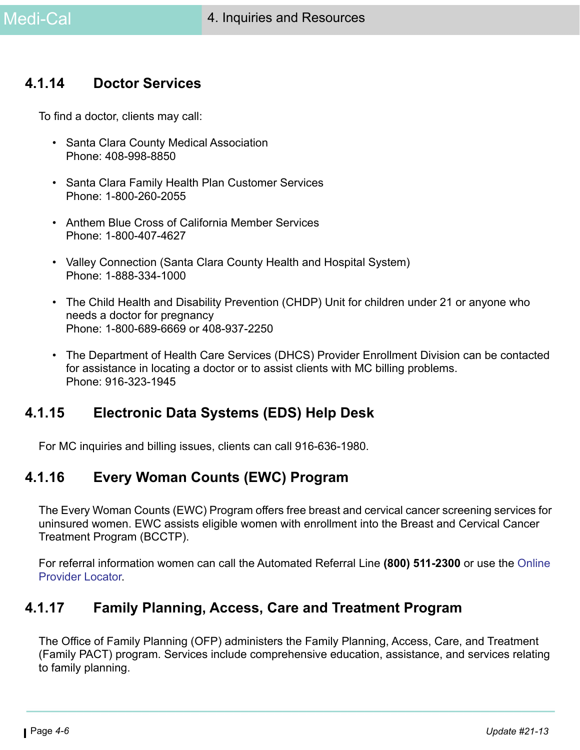### **4.1.14 Doctor Services**

To find a doctor, clients may call:

- Santa Clara County Medical Association Phone: 408-998-8850
- Santa Clara Family Health Plan Customer Services Phone: 1-800-260-2055
- Anthem Blue Cross of California Member Services Phone: 1-800-407-4627
- Valley Connection (Santa Clara County Health and Hospital System) Phone: 1-888-334-1000
- The Child Health and Disability Prevention (CHDP) Unit for children under 21 or anyone who needs a doctor for pregnancy Phone: 1-800-689-6669 or 408-937-2250
- The Department of Health Care Services (DHCS) Provider Enrollment Division can be contacted for assistance in locating a doctor or to assist clients with MC billing problems. Phone: 916-323-1945

# **4.1.15 Electronic Data Systems (EDS) Help Desk**

For MC inquiries and billing issues, clients can call 916-636-1980.

### **4.1.16 Every Woman Counts (EWC) Program**

The Every Woman Counts (EWC) Program offers free breast and cervical cancer screening services for uninsured women. EWC assists eligible women with enrollment into the Breast and Cervical Cancer Treatment Program (BCCTP).

For referral information women can call the Automated Referral Line **(800) 511-2300** or use the [Online](http://www.dhcs.ca.gov/services/cancer/EWC/Pages/ewc-clinic-locator.aspx)  [Provider Locator](http://www.dhcs.ca.gov/services/cancer/EWC/Pages/ewc-clinic-locator.aspx).

#### **4.1.17 Family Planning, Access, Care and Treatment Program**

The Office of Family Planning (OFP) administers the Family Planning, Access, Care, and Treatment (Family PACT) program. Services include comprehensive education, assistance, and services relating to family planning.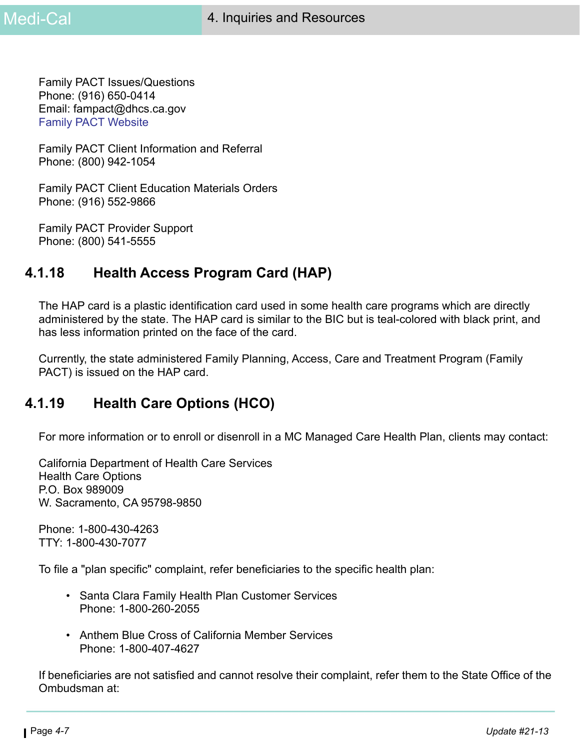Family PACT Issues/Questions Phone: (916) 650-0414 Email: fampact@dhcs.ca.gov [Family PACT Website](http://www.familypact.org/Home/home-page)

Family PACT Client Information and Referral Phone: (800) 942-1054

Family PACT Client Education Materials Orders Phone: (916) 552-9866

Family PACT Provider Support Phone: (800) 541-5555

## **4.1.18 Health Access Program Card (HAP)**

The HAP card is a plastic identification card used in some health care programs which are directly administered by the state. The HAP card is similar to the BIC but is teal-colored with black print, and has less information printed on the face of the card.

Currently, the state administered Family Planning, Access, Care and Treatment Program (Family PACT) is issued on the HAP card.

# **4.1.19 Health Care Options (HCO)**

For more information or to enroll or disenroll in a MC Managed Care Health Plan, clients may contact:

California Department of Health Care Services Health Care Options P.O. Box 989009 W. Sacramento, CA 95798-9850

Phone: 1-800-430-4263 TTY: 1-800-430-7077

To file a "plan specific" complaint, refer beneficiaries to the specific health plan:

- Santa Clara Family Health Plan Customer Services Phone: 1-800-260-2055
- Anthem Blue Cross of California Member Services Phone: 1-800-407-4627

If beneficiaries are not satisfied and cannot resolve their complaint, refer them to the State Office of the Ombudsman at: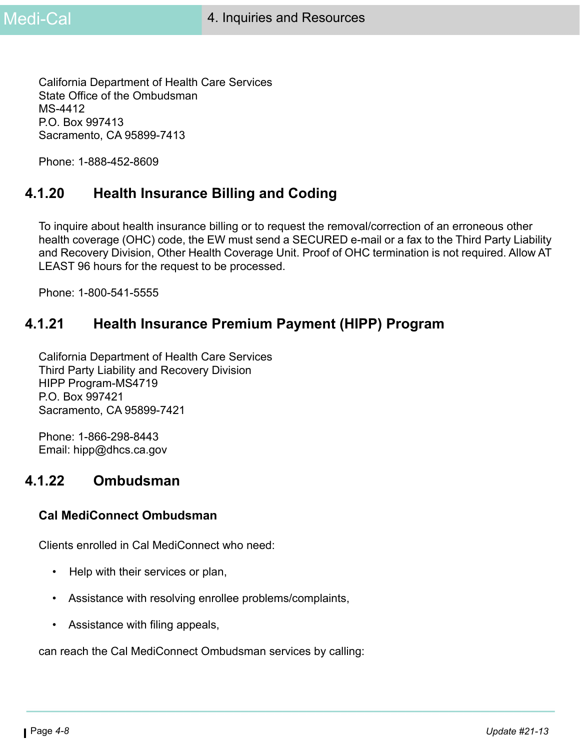California Department of Health Care Services State Office of the Ombudsman MS-4412 P.O. Box 997413 Sacramento, CA 95899-7413

Phone: 1-888-452-8609

## **4.1.20 Health Insurance Billing and Coding**

To inquire about health insurance billing or to request the removal/correction of an erroneous other health coverage (OHC) code, the EW must send a SECURED e-mail or a fax to the Third Party Liability and Recovery Division, Other Health Coverage Unit. Proof of OHC termination is not required. Allow AT LEAST 96 hours for the request to be processed.

Phone: 1-800-541-5555

## **4.1.21 Health Insurance Premium Payment (HIPP) Program**

California Department of Health Care Services Third Party Liability and Recovery Division HIPP Program-MS4719 P.O. Box 997421 Sacramento, CA 95899-7421

Phone: 1-866-298-8443 Email: hipp@dhcs.ca.gov

#### **4.1.22 Ombudsman**

#### **Cal MediConnect Ombudsman**

Clients enrolled in Cal MediConnect who need:

- Help with their services or plan,
- Assistance with resolving enrollee problems/complaints,
- Assistance with filing appeals,

can reach the Cal MediConnect Ombudsman services by calling: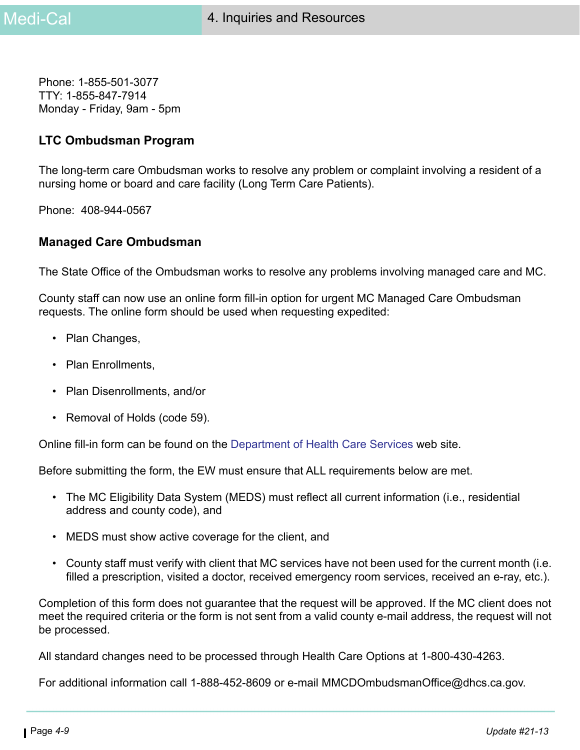Phone: 1-855-501-3077 TTY: 1-855-847-7914 Monday - Friday, 9am - 5pm

#### **LTC Ombudsman Program**

The long-term care Ombudsman works to resolve any problem or complaint involving a resident of a nursing home or board and care facility (Long Term Care Patients).

Phone: 408-944-0567

#### **Managed Care Ombudsman**

The State Office of the Ombudsman works to resolve any problems involving managed care and MC.

County staff can now use an online form fill-in option for urgent MC Managed Care Ombudsman requests. The online form should be used when requesting expedited:

- Plan Changes,
- Plan Enrollments,
- Plan Disenrollments, and/or
- Removal of Holds (code 59).

Online fill-in form can be found on the [Department of Health Care Services](http://www.dhcs.ca.gov/services/medi-cal/Pages/MMCDOfficeoftheOmbudsman.aspx) web site.

Before submitting the form, the EW must ensure that ALL requirements below are met.

- The MC Eligibility Data System (MEDS) must reflect all current information (i.e., residential address and county code), and
- MEDS must show active coverage for the client, and
- County staff must verify with client that MC services have not been used for the current month (i.e. filled a prescription, visited a doctor, received emergency room services, received an e-ray, etc.).

Completion of this form does not guarantee that the request will be approved. If the MC client does not meet the required criteria or the form is not sent from a valid county e-mail address, the request will not be processed.

All standard changes need to be processed through Health Care Options at 1-800-430-4263.

For additional information call 1-888-452-8609 or e-mail MMCDOmbudsmanOffice@dhcs.ca.gov.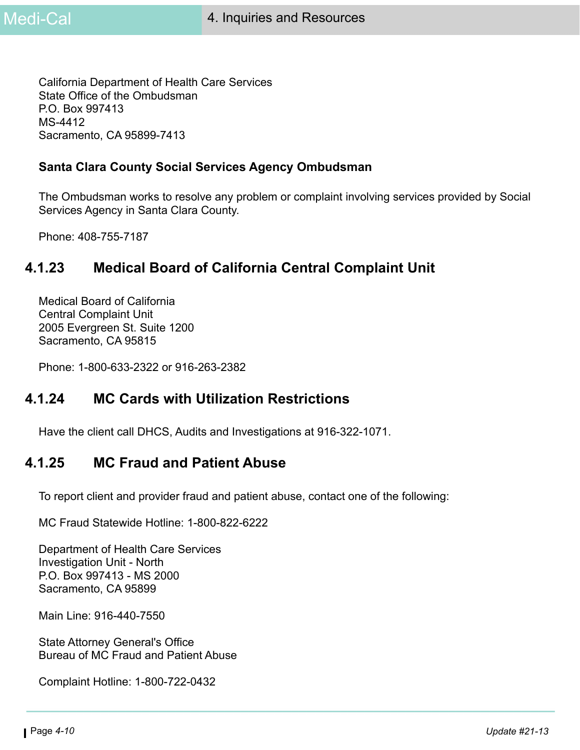California Department of Health Care Services State Office of the Ombudsman P.O. Box 997413 MS-4412 Sacramento, CA 95899-7413

#### **Santa Clara County Social Services Agency Ombudsman**

The Ombudsman works to resolve any problem or complaint involving services provided by Social Services Agency in Santa Clara County.

Phone: 408-755-7187

# **4.1.23 Medical Board of California Central Complaint Unit**

Medical Board of California Central Complaint Unit 2005 Evergreen St. Suite 1200 Sacramento, CA 95815

Phone: 1-800-633-2322 or 916-263-2382

#### **4.1.24 MC Cards with Utilization Restrictions**

Have the client call DHCS, Audits and Investigations at 916-322-1071.

#### **4.1.25 MC Fraud and Patient Abuse**

To report client and provider fraud and patient abuse, contact one of the following:

MC Fraud Statewide Hotline: 1-800-822-6222

Department of Health Care Services Investigation Unit - North P.O. Box 997413 - MS 2000 Sacramento, CA 95899

Main Line: 916-440-7550

State Attorney General's Office Bureau of MC Fraud and Patient Abuse

Complaint Hotline: 1-800-722-0432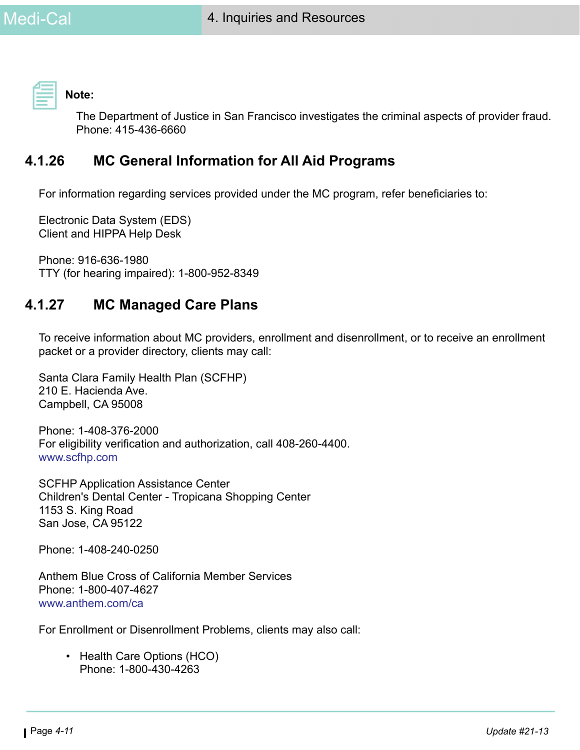**Note:** 

The Department of Justice in San Francisco investigates the criminal aspects of provider fraud. Phone: 415-436-6660

# **4.1.26 MC General Information for All Aid Programs**

For information regarding services provided under the MC program, refer beneficiaries to:

Electronic Data System (EDS) Client and HIPPA Help Desk

Phone: 916-636-1980 TTY (for hearing impaired): 1-800-952-8349

# **4.1.27 MC Managed Care Plans**

To receive information about MC providers, enrollment and disenrollment, or to receive an enrollment packet or a provider directory, clients may call:

Santa Clara Family Health Plan (SCFHP) 210 E. Hacienda Ave. Campbell, CA 95008

Phone: 1-408-376-2000 For eligibility verification and authorization, call 408-260-4400. [www.scfhp.com](https://www.scfhp.com/)

SCFHP Application Assistance Center Children's Dental Center - Tropicana Shopping Center 1153 S. King Road San Jose, CA 95122

Phone: 1-408-240-0250

Anthem Blue Cross of California Member Services Phone: 1-800-407-4627 [www.anthem.com/ca](https://www.anthem.com/ca/health-insurance/home/overview)

For Enrollment or Disenrollment Problems, clients may also call:

• Health Care Options (HCO) Phone: 1-800-430-4263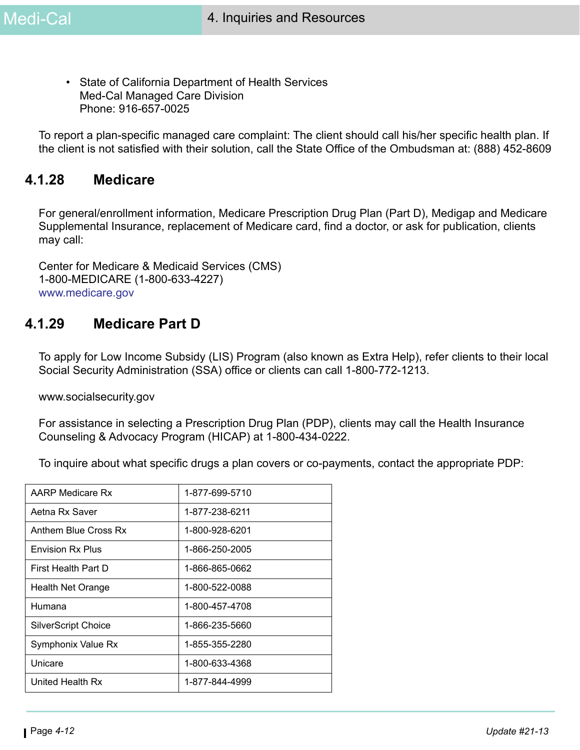• State of California Department of Health Services Med-Cal Managed Care Division Phone: 916-657-0025

To report a plan-specific managed care complaint: The client should call his/her specific health plan. If the client is not satisfied with their solution, call the State Office of the Ombudsman at: (888) 452-8609

#### **4.1.28 Medicare**

For general/enrollment information, Medicare Prescription Drug Plan (Part D), Medigap and Medicare Supplemental Insurance, replacement of Medicare card, find a doctor, or ask for publication, clients may call:

Center for Medicare & Medicaid Services (CMS) 1-800-MEDICARE (1-800-633-4227) [www.medicare.gov](https://www.medicare.gov/)

#### **4.1.29 Medicare Part D**

To apply for Low Income Subsidy (LIS) Program (also known as Extra Help), refer clients to their local Social Security Administration (SSA) office or clients can call 1-800-772-1213.

[www.socialsecurity.gov](https://www.ssa.gov/)

For assistance in selecting a Prescription Drug Plan (PDP), clients may call the Health Insurance Counseling & Advocacy Program (HICAP) at 1-800-434-0222.

To inquire about what specific drugs a plan covers or co-payments, contact the appropriate PDP:

| AARP Medicare Rx           | 1-877-699-5710 |
|----------------------------|----------------|
| Aetna Rx Saver             | 1-877-238-6211 |
| Anthem Blue Cross Rx       | 1-800-928-6201 |
| <b>Envision Rx Plus</b>    | 1-866-250-2005 |
| First Health Part D        | 1-866-865-0662 |
| <b>Health Net Orange</b>   | 1-800-522-0088 |
| Humana                     | 1-800-457-4708 |
| <b>SilverScript Choice</b> | 1-866-235-5660 |
| Symphonix Value Rx         | 1-855-355-2280 |
| Unicare                    | 1-800-633-4368 |
| United Health Rx           | 1-877-844-4999 |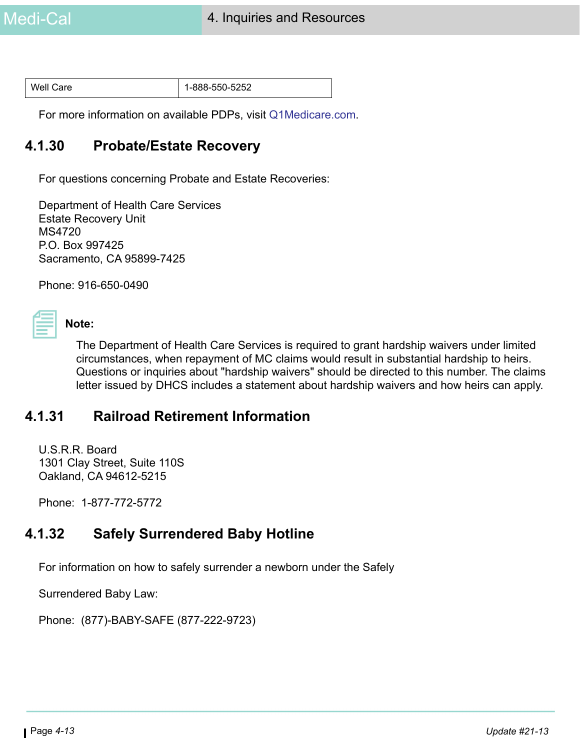| Well Care | $1-888-550-5252$ |
|-----------|------------------|
|-----------|------------------|

For more information on available PDPs, visit [Q1Medicare.com.](https://q1medicare.com/PartD-SearchPDPMedicare-2016PlanFinder.php?state=CAhttps://q1medicare.com/PartD-SearchPDPMedicare-2016PlanFinder.php?state=CA)

#### **4.1.30 Probate/Estate Recovery**

For questions concerning Probate and Estate Recoveries:

Department of Health Care Services Estate Recovery Unit MS4720 P.O. Box 997425 Sacramento, CA 95899-7425

Phone: 916-650-0490

# **Note:**

The Department of Health Care Services is required to grant hardship waivers under limited circumstances, when repayment of MC claims would result in substantial hardship to heirs. Questions or inquiries about "hardship waivers" should be directed to this number. The claims letter issued by DHCS includes a statement about hardship waivers and how heirs can apply.

#### **4.1.31 Railroad Retirement Information**

U.S.R.R. Board 1301 Clay Street, Suite 110S Oakland, CA 94612-5215

Phone: 1-877-772-5772

# **4.1.32 Safely Surrendered Baby Hotline**

For information on how to safely surrender a newborn under the Safely

Surrendered Baby Law:

Phone: (877)-BABY-SAFE (877-222-9723)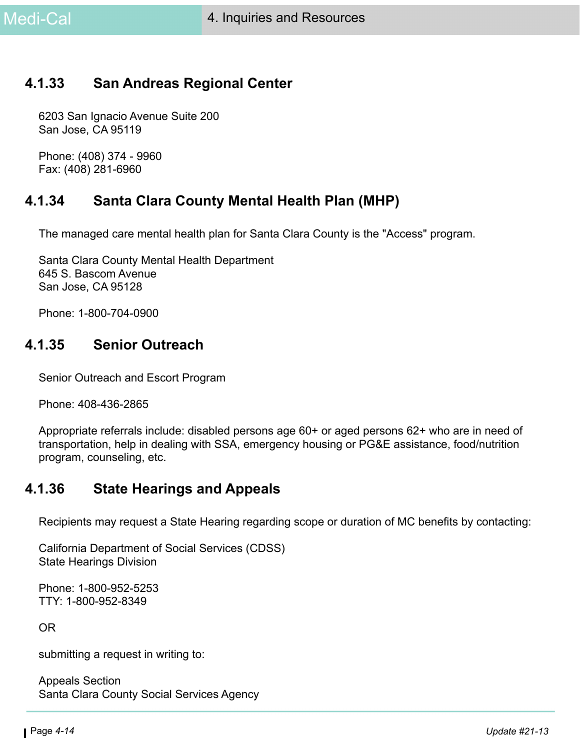## **4.1.33 San Andreas Regional Center**

6203 San Ignacio Avenue Suite 200 San Jose, CA 95119

Phone: (408) 374 - 9960 Fax: (408) 281-6960

## **4.1.34 Santa Clara County Mental Health Plan (MHP)**

The managed care mental health plan for Santa Clara County is the "Access" program.

Santa Clara County Mental Health Department 645 S. Bascom Avenue San Jose, CA 95128

Phone: 1-800-704-0900

#### **4.1.35 Senior Outreach**

Senior Outreach and Escort Program

Phone: 408-436-2865

Appropriate referrals include: disabled persons age 60+ or aged persons 62+ who are in need of transportation, help in dealing with SSA, emergency housing or PG&E assistance, food/nutrition program, counseling, etc.

#### **4.1.36 State Hearings and Appeals**

Recipients may request a State Hearing regarding scope or duration of MC benefits by contacting:

California Department of Social Services (CDSS) State Hearings Division

Phone: 1-800-952-5253 TTY: 1-800-952-8349

OR

submitting a request in writing to:

Appeals Section Santa Clara County Social Services Agency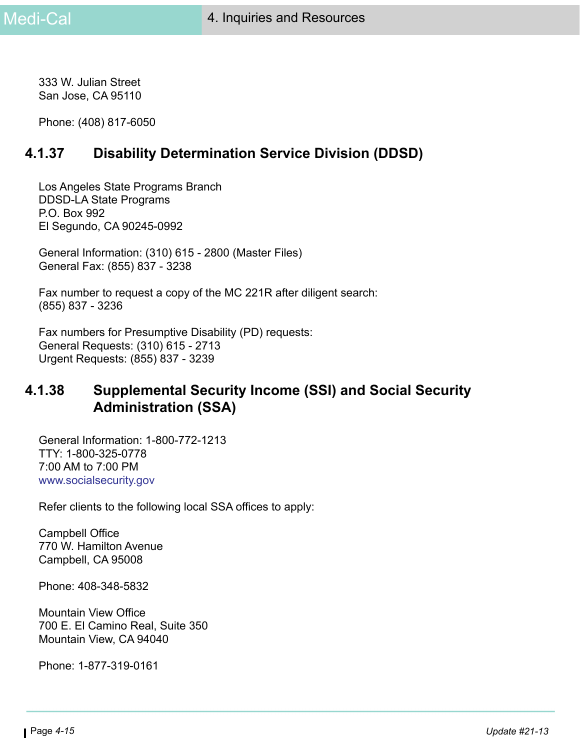333 W. Julian Street San Jose, CA 95110

Phone: (408) 817-6050

# **4.1.37 Disability Determination Service Division (DDSD)**

Los Angeles State Programs Branch DDSD-LA State Programs P.O. Box 992 El Segundo, CA 90245-0992

General Information: (310) 615 - 2800 (Master Files) General Fax: (855) 837 - 3238

Fax number to request a copy of the MC 221R after diligent search: (855) 837 - 3236

Fax numbers for Presumptive Disability (PD) requests: General Requests: (310) 615 - 2713 Urgent Requests: (855) 837 - 3239

# **4.1.38 Supplemental Security Income (SSI) and Social Security Administration (SSA)**

General Information: 1-800-772-1213 TTY: 1-800-325-0778 7:00 AM to 7:00 PM [www.socialsecurity.gov](https://www.ssa.gov/)

Refer clients to the following local SSA offices to apply:

Campbell Office 770 W. Hamilton Avenue Campbell, CA 95008

Phone: 408-348-5832

Mountain View Office 700 E. El Camino Real, Suite 350 Mountain View, CA 94040

Phone: 1-877-319-0161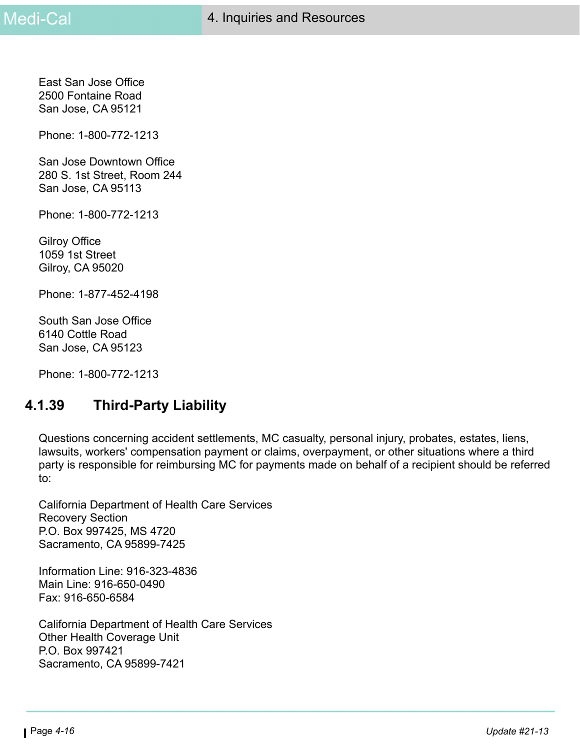East San Jose Office 2500 Fontaine Road San Jose, CA 95121

Phone: 1-800-772-1213

San Jose Downtown Office 280 S. 1st Street, Room 244 San Jose, CA 95113

Phone: 1-800-772-1213

Gilroy Office 1059 1st Street Gilroy, CA 95020

Phone: 1-877-452-4198

South San Jose Office 6140 Cottle Road San Jose, CA 95123

Phone: 1-800-772-1213

#### **4.1.39 Third-Party Liability**

Questions concerning accident settlements, MC casualty, personal injury, probates, estates, liens, lawsuits, workers' compensation payment or claims, overpayment, or other situations where a third party is responsible for reimbursing MC for payments made on behalf of a recipient should be referred to:

California Department of Health Care Services Recovery Section P.O. Box 997425, MS 4720 Sacramento, CA 95899-7425

Information Line: 916-323-4836 Main Line: 916-650-0490 Fax: 916-650-6584

California Department of Health Care Services Other Health Coverage Unit P.O. Box 997421 Sacramento, CA 95899-7421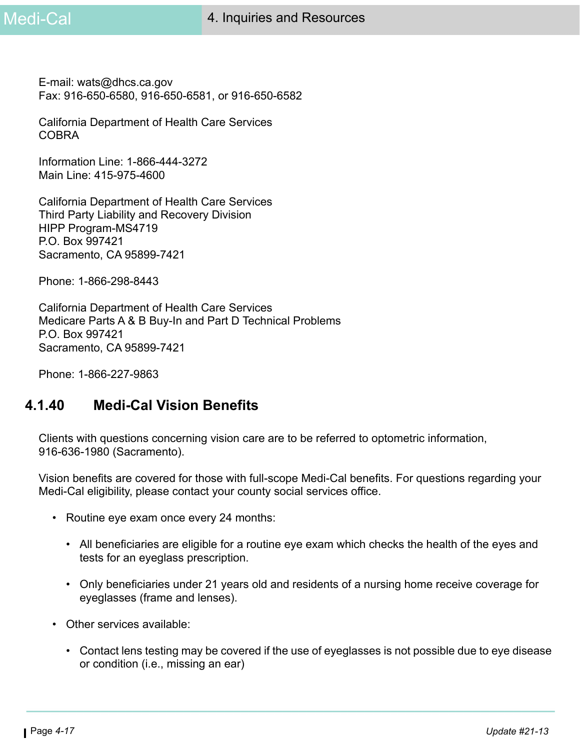E-mail: wats@dhcs.ca.gov Fax: 916-650-6580, 916-650-6581, or 916-650-6582

California Department of Health Care Services **COBRA** 

Information Line: 1-866-444-3272 Main Line: 415-975-4600

California Department of Health Care Services Third Party Liability and Recovery Division HIPP Program-MS4719 P.O. Box 997421 Sacramento, CA 95899-7421

Phone: 1-866-298-8443

California Department of Health Care Services Medicare Parts A & B Buy-In and Part D Technical Problems P.O. Box 997421 Sacramento, CA 95899-7421

Phone: 1-866-227-9863

#### **4.1.40 Medi-Cal Vision Benefits**

Clients with questions concerning vision care are to be referred to optometric information, 916-636-1980 (Sacramento).

Vision benefits are covered for those with full-scope Medi-Cal benefits. For questions regarding your Medi-Cal eligibility, please contact your county social services office.

- Routine eye exam once every 24 months:
	- All beneficiaries are eligible for a routine eye exam which checks the health of the eyes and tests for an eyeglass prescription.
	- Only beneficiaries under 21 years old and residents of a nursing home receive coverage for eyeglasses (frame and lenses).
- Other services available:
	- Contact lens testing may be covered if the use of eyeglasses is not possible due to eye disease or condition (i.e., missing an ear)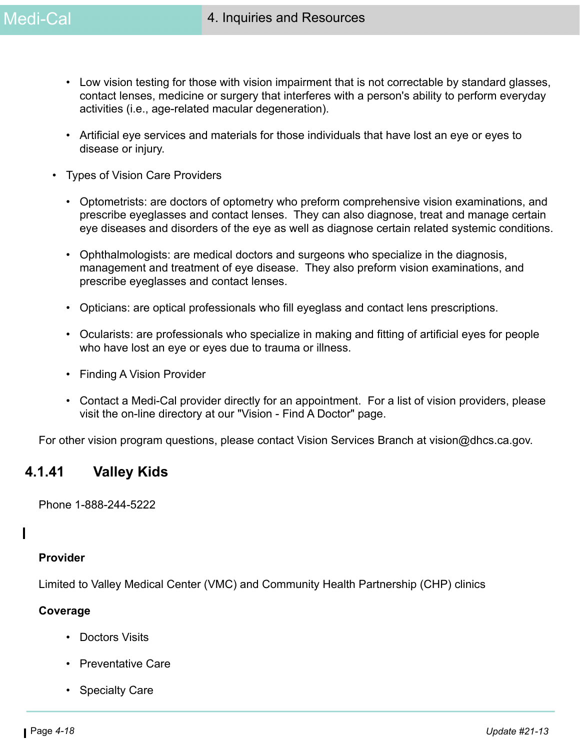- Low vision testing for those with vision impairment that is not correctable by standard glasses, contact lenses, medicine or surgery that interferes with a person's ability to perform everyday activities (i.e., age-related macular degeneration).
- Artificial eye services and materials for those individuals that have lost an eye or eyes to disease or injury.
- Types of Vision Care Providers
	- Optometrists: are doctors of optometry who preform comprehensive vision examinations, and prescribe eyeglasses and contact lenses. They can also diagnose, treat and manage certain eye diseases and disorders of the eye as well as diagnose certain related systemic conditions.
	- Ophthalmologists: are medical doctors and surgeons who specialize in the diagnosis, management and treatment of eye disease. They also preform vision examinations, and prescribe eyeglasses and contact lenses.
	- Opticians: are optical professionals who fill eyeglass and contact lens prescriptions.
	- Ocularists: are professionals who specialize in making and fitting of artificial eyes for people who have lost an eye or eyes due to trauma or illness.
	- Finding A Vision Provider
	- Contact a Medi-Cal provider directly for an appointment. For a list of vision providers, please visit the on-line directory at our "Vision - Find A Doctor" page.

For other vision program questions, please contact Vision Services Branch at vision@dhcs.ca.gov.

#### **4.1.41 Valley Kids**

Phone 1-888-244-5222

#### **Provider**

Limited to Valley Medical Center (VMC) and Community Health Partnership (CHP) clinics

#### **Coverage**

- Doctors Visits
- Preventative Care
- Specialty Care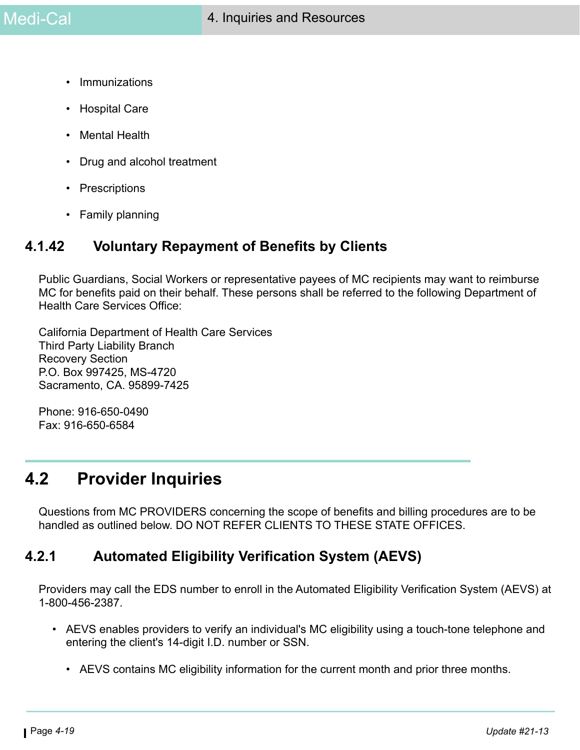- Immunizations
- Hospital Care
- Mental Health
- Drug and alcohol treatment
- Prescriptions
- Family planning

## **4.1.42 Voluntary Repayment of Benefits by Clients**

Public Guardians, Social Workers or representative payees of MC recipients may want to reimburse MC for benefits paid on their behalf. These persons shall be referred to the following Department of Health Care Services Office:

California Department of Health Care Services Third Party Liability Branch Recovery Section P.O. Box 997425, MS-4720 Sacramento, CA. 95899-7425

Phone: 916-650-0490 Fax: 916-650-6584

# **4.2 Provider Inquiries**

Questions from MC PROVIDERS concerning the scope of benefits and billing procedures are to be handled as outlined below. DO NOT REFER CLIENTS TO THESE STATE OFFICES.

#### **4.2.1 Automated Eligibility Verification System (AEVS)**

Providers may call the EDS number to enroll in the Automated Eligibility Verification System (AEVS) at 1-800-456-2387.

- AEVS enables providers to verify an individual's MC eligibility using a touch-tone telephone and entering the client's 14-digit I.D. number or SSN.
	- AEVS contains MC eligibility information for the current month and prior three months.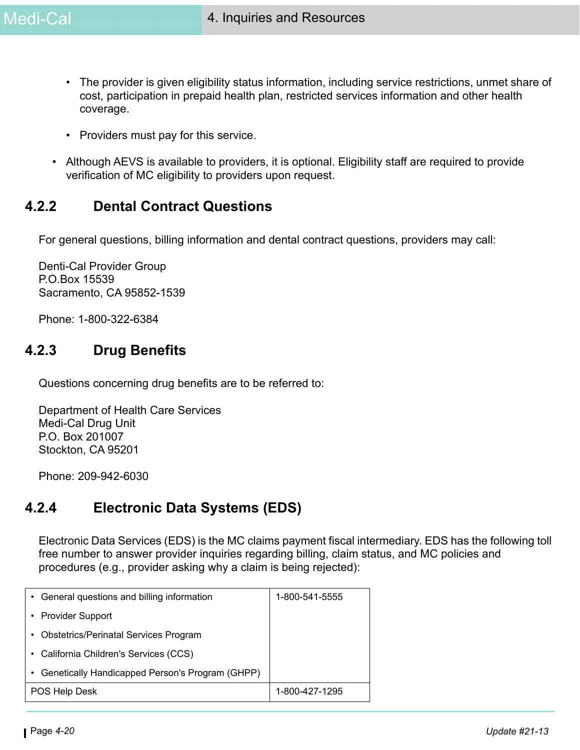- The provider is given eligibility status information, including service restrictions, unmet share of cost, participation in prepaid health plan, restricted services information and other health coverage.
- Providers must pay for this service.
- Although AEVS is available to providers, it is optional. Eligibility staff are required to provide verification of MC eligibility to providers upon request.

# **4.2.2 Dental Contract Questions**

For general questions, billing information and dental contract questions, providers may call:

Denti-Cal Provider Group P.O.Box 15539 Sacramento, CA 95852-1539

Phone: 1-800-322-6384

# **4.2.3 Drug Benefits**

Questions concerning drug benefits are to be referred to:

Department of Health Care Services Medi-Cal Drug Unit P.O. Box 201007 Stockton, CA 95201

Phone: 209-942-6030

# **4.2.4 Electronic Data Systems (EDS)**

Electronic Data Services (EDS) is the MC claims payment fiscal intermediary. EDS has the following toll free number to answer provider inquiries regarding billing, claim status, and MC policies and procedures (e.g., provider asking why a claim is being rejected):

| General questions and billing information<br>٠       | 1-800-541-5555 |
|------------------------------------------------------|----------------|
| • Provider Support                                   |                |
| <b>Obstetrics/Perinatal Services Program</b><br>٠    |                |
| California Children's Services (CCS)<br>٠            |                |
| Genetically Handicapped Person's Program (GHPP)<br>٠ |                |
| POS Help Desk                                        | 1-800-427-1295 |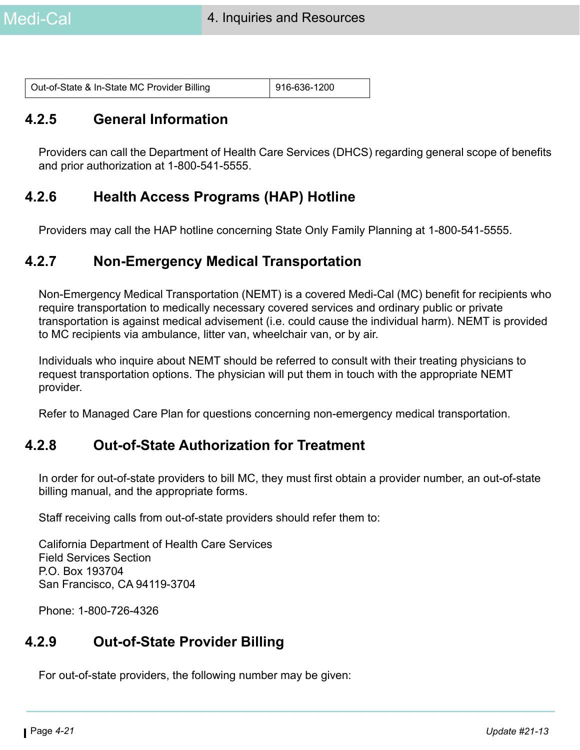| Out-of-State & In-State MC Provider Billing | $ 916-636-1200$ |
|---------------------------------------------|-----------------|
|---------------------------------------------|-----------------|

#### **4.2.5 General Information**

Providers can call the Department of Health Care Services (DHCS) regarding general scope of benefits and prior authorization at 1-800-541-5555.

## **4.2.6 Health Access Programs (HAP) Hotline**

Providers may call the HAP hotline concerning State Only Family Planning at 1-800-541-5555.

#### **4.2.7 Non-Emergency Medical Transportation**

Non-Emergency Medical Transportation (NEMT) is a covered Medi-Cal (MC) benefit for recipients who require transportation to medically necessary covered services and ordinary public or private transportation is against medical advisement (i.e. could cause the individual harm). NEMT is provided to MC recipients via ambulance, litter van, wheelchair van, or by air.

Individuals who inquire about NEMT should be referred to consult with their treating physicians to request transportation options. The physician will put them in touch with the appropriate NEMT provider.

Refer to Managed Care Plan for questions concerning non-emergency medical transportation.

#### **4.2.8 Out-of-State Authorization for Treatment**

In order for out-of-state providers to bill MC, they must first obtain a provider number, an out-of-state billing manual, and the appropriate forms.

Staff receiving calls from out-of-state providers should refer them to:

California Department of Health Care Services Field Services Section P.O. Box 193704 San Francisco, CA 94119-3704

Phone: 1-800-726-4326

#### **4.2.9 Out-of-State Provider Billing**

For out-of-state providers, the following number may be given: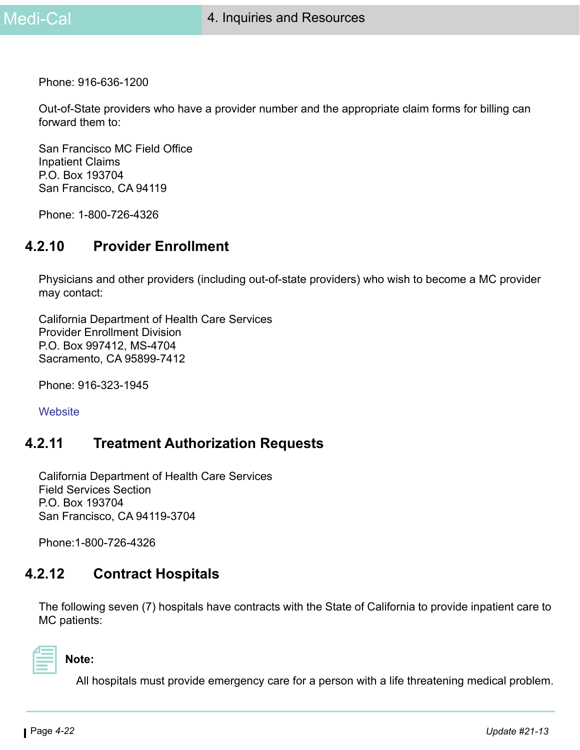Phone: 916-636-1200

Out-of-State providers who have a provider number and the appropriate claim forms for billing can forward them to:

San Francisco MC Field Office Inpatient Claims P.O. Box 193704 San Francisco, CA 94119

Phone: 1-800-726-4326

#### **4.2.10 Provider Enrollment**

Physicians and other providers (including out-of-state providers) who wish to become a MC provider may contact:

California Department of Health Care Services Provider Enrollment Division P.O. Box 997412, MS-4704 Sacramento, CA 95899-7412

Phone: 916-323-1945

**[Website](http://files.medi-cal.ca.gov/pubsdoco/prov_enroll.asp)** 

#### **4.2.11 Treatment Authorization Requests**

California Department of Health Care Services Field Services Section P.O. Box 193704 San Francisco, CA 94119-3704

Phone:1-800-726-4326

#### **4.2.12 Contract Hospitals**

The following seven (7) hospitals have contracts with the State of California to provide inpatient care to MC patients:

**Note:** 

All hospitals must provide emergency care for a person with a life threatening medical problem.